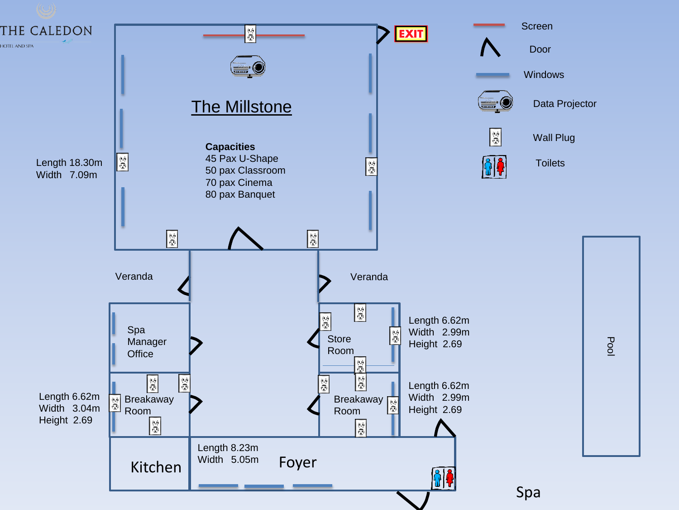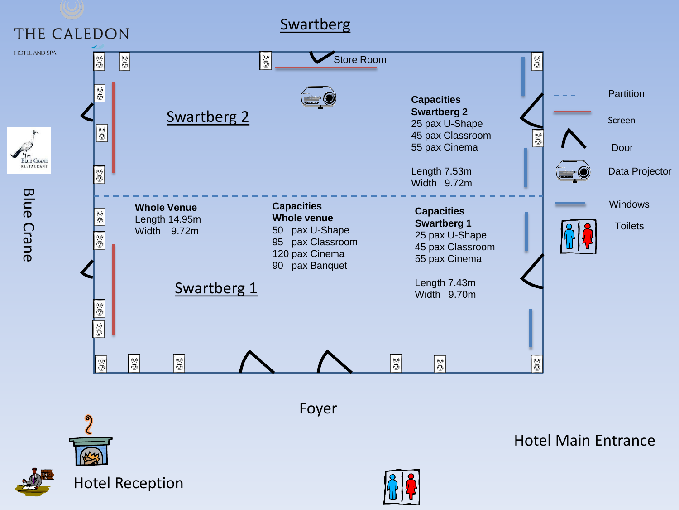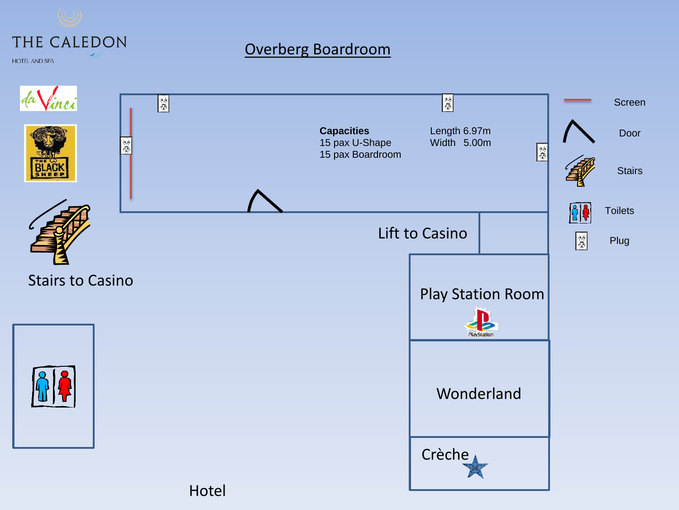## THE CALEDON

## Overberg Boardroom

**HOTEL AND SPA** 



Hotel